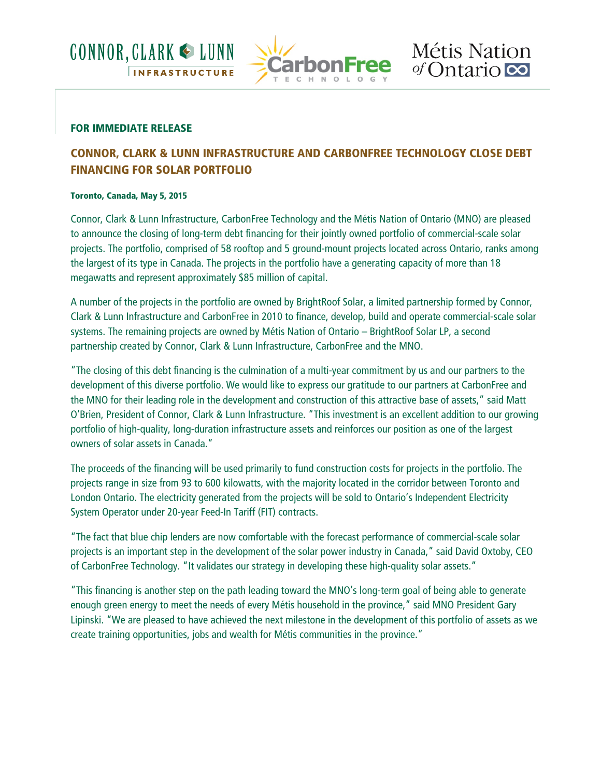



#### **FOR IMMEDIATE RELEASE**

# **CONNOR, CLARK & LUNN INFRASTRUCTURE AND CARBONFREE TECHNOLOGY CLOSE DEBT FINANCING FOR SOLAR PORTFOLIO**

#### **Toronto, Canada, May 5, 2015**

Connor, Clark & Lunn Infrastructure, CarbonFree Technology and the Métis Nation of Ontario (MNO) are pleased to announce the closing of long-term debt financing for their jointly owned portfolio of commercial-scale solar projects. The portfolio, comprised of 58 rooftop and 5 ground-mount projects located across Ontario, ranks among the largest of its type in Canada. The projects in the portfolio have a generating capacity of more than 18 megawatts and represent approximately \$85 million of capital.

A number of the projects in the portfolio are owned by BrightRoof Solar, a limited partnership formed by Connor, Clark & Lunn Infrastructure and CarbonFree in 2010 to finance, develop, build and operate commercial-scale solar systems. The remaining projects are owned by Métis Nation of Ontario – BrightRoof Solar LP, a second partnership created by Connor, Clark & Lunn Infrastructure, CarbonFree and the MNO.

"The closing of this debt financing is the culmination of a multi-year commitment by us and our partners to the development of this diverse portfolio. We would like to express our gratitude to our partners at CarbonFree and the MNO for their leading role in the development and construction of this attractive base of assets," said Matt O'Brien, President of Connor, Clark & Lunn Infrastructure. "This investment is an excellent addition to our growing portfolio of high-quality, long-duration infrastructure assets and reinforces our position as one of the largest owners of solar assets in Canada."

The proceeds of the financing will be used primarily to fund construction costs for projects in the portfolio. The projects range in size from 93 to 600 kilowatts, with the majority located in the corridor between Toronto and London Ontario. The electricity generated from the projects will be sold to Ontario's Independent Electricity System Operator under 20-year Feed-In Tariff (FIT) contracts.

"The fact that blue chip lenders are now comfortable with the forecast performance of commercial-scale solar projects is an important step in the development of the solar power industry in Canada," said David Oxtoby, CEO of CarbonFree Technology. "It validates our strategy in developing these high-quality solar assets."

"This financing is another step on the path leading toward the MNO's long-term goal of being able to generate enough green energy to meet the needs of every Métis household in the province," said MNO President Gary Lipinski. "We are pleased to have achieved the next milestone in the development of this portfolio of assets as we create training opportunities, jobs and wealth for Métis communities in the province."